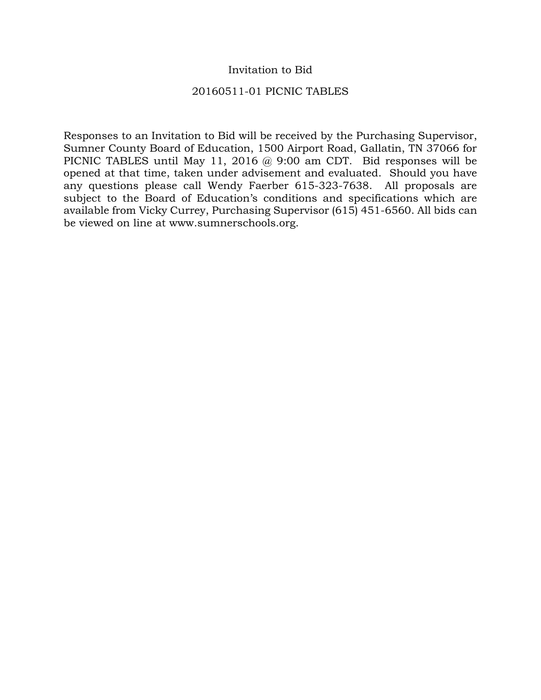## Invitation to Bid

### 20160511-01 PICNIC TABLES

Responses to an Invitation to Bid will be received by the Purchasing Supervisor, Sumner County Board of Education, 1500 Airport Road, Gallatin, TN 37066 for PICNIC TABLES until May 11, 2016 @ 9:00 am CDT. Bid responses will be opened at that time, taken under advisement and evaluated. Should you have any questions please call Wendy Faerber 615-323-7638. All proposals are subject to the Board of Education's conditions and specifications which are available from Vicky Currey, Purchasing Supervisor (615) 451-6560. All bids can be viewed on line at www.sumnerschools.org.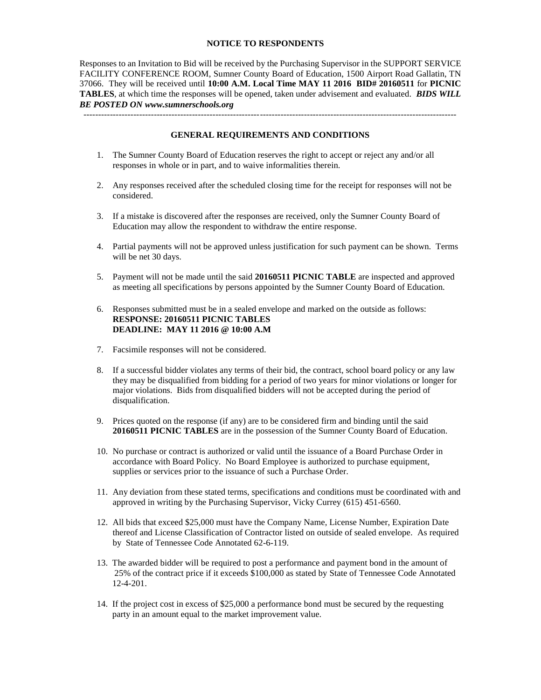#### **NOTICE TO RESPONDENTS**

Responses to an Invitation to Bid will be received by the Purchasing Supervisor in the SUPPORT SERVICE FACILITY CONFERENCE ROOM, Sumner County Board of Education, 1500 Airport Road Gallatin, TN 37066. They will be received until **10:00 A.M. Local Time MAY 11 2016 BID# 20160511** for **PICNIC TABLES**, at which time the responses will be opened, taken under advisement and evaluated. *BIDS WILL BE POSTED ON www.sumnerschools.org*

**GENERAL REQUIREMENTS AND CONDITIONS**

-------------------------------------------------------------------------------------------------------------------------------

- 1. The Sumner County Board of Education reserves the right to accept or reject any and/or all responses in whole or in part, and to waive informalities therein.
- 2. Any responses received after the scheduled closing time for the receipt for responses will not be considered.
- 3. If a mistake is discovered after the responses are received, only the Sumner County Board of Education may allow the respondent to withdraw the entire response.
- 4. Partial payments will not be approved unless justification for such payment can be shown. Terms will be net 30 days.
- 5. Payment will not be made until the said **20160511 PICNIC TABLE** are inspected and approved as meeting all specifications by persons appointed by the Sumner County Board of Education.
- 6. Responses submitted must be in a sealed envelope and marked on the outside as follows: **RESPONSE: 20160511 PICNIC TABLES DEADLINE: MAY 11 2016 @ 10:00 A.M**
- 7. Facsimile responses will not be considered.
- 8. If a successful bidder violates any terms of their bid, the contract, school board policy or any law they may be disqualified from bidding for a period of two years for minor violations or longer for major violations. Bids from disqualified bidders will not be accepted during the period of disqualification.
- 9. Prices quoted on the response (if any) are to be considered firm and binding until the said **20160511 PICNIC TABLES** are in the possession of the Sumner County Board of Education.
- 10. No purchase or contract is authorized or valid until the issuance of a Board Purchase Order in accordance with Board Policy. No Board Employee is authorized to purchase equipment, supplies or services prior to the issuance of such a Purchase Order.
- 11. Any deviation from these stated terms, specifications and conditions must be coordinated with and approved in writing by the Purchasing Supervisor, Vicky Currey (615) 451-6560.
- 12. All bids that exceed \$25,000 must have the Company Name, License Number, Expiration Date thereof and License Classification of Contractor listed on outside of sealed envelope. As required by State of Tennessee Code Annotated 62-6-119.
- 13. The awarded bidder will be required to post a performance and payment bond in the amount of 25% of the contract price if it exceeds \$100,000 as stated by State of Tennessee Code Annotated 12-4-201.
- 14. If the project cost in excess of \$25,000 a performance bond must be secured by the requesting party in an amount equal to the market improvement value.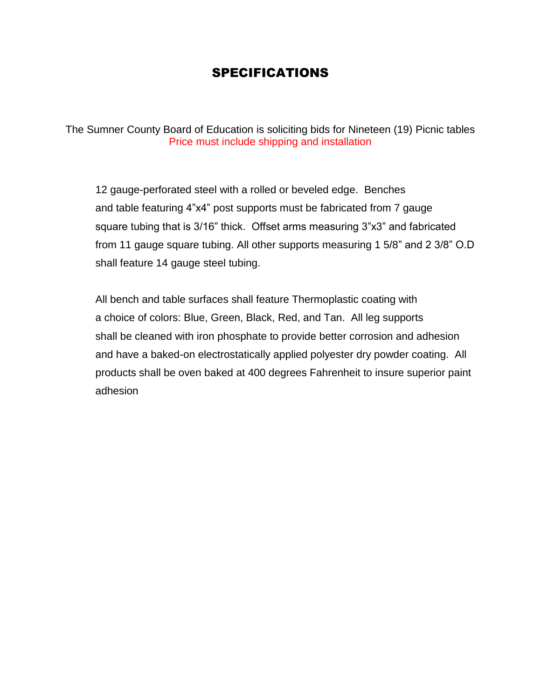# SPECIFICATIONS

The Sumner County Board of Education is soliciting bids for Nineteen (19) Picnic tables Price must include shipping and installation

12 gauge-perforated steel with a rolled or beveled edge. Benches and table featuring 4"x4" post supports must be fabricated from 7 gauge square tubing that is 3/16" thick. Offset arms measuring 3"x3" and fabricated from 11 gauge square tubing. All other supports measuring 1 5/8" and 2 3/8" O.D shall feature 14 gauge steel tubing.

All bench and table surfaces shall feature Thermoplastic coating with a choice of colors: Blue, Green, Black, Red, and Tan. All leg supports shall be cleaned with iron phosphate to provide better corrosion and adhesion and have a baked-on electrostatically applied polyester dry powder coating. All products shall be oven baked at 400 degrees Fahrenheit to insure superior paint adhesion